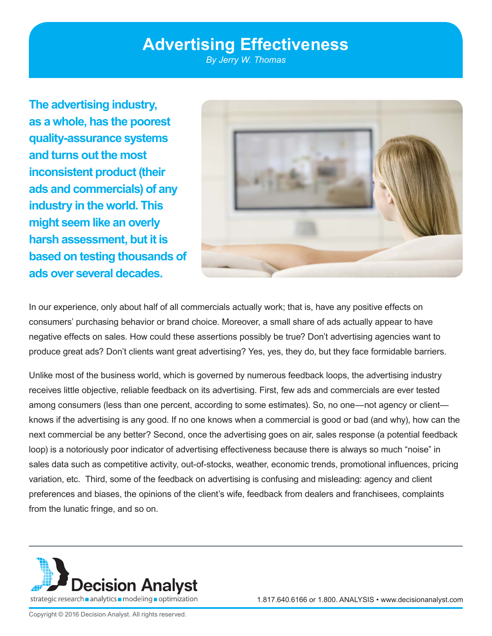# **Advertising Effectiveness**

*By Jerry W. Thomas*

**The advertising industry, as a whole, has the poorest quality-assurance systems and turns out the most inconsistent product (their ads and commercials) of any industry in the world. This might seem like an overly harsh assessment, but it is based on testing thousands of ads over several decades.** 



In our experience, only about half of all commercials actually work; that is, have any positive effects on consumers' purchasing behavior or brand choice. Moreover, a small share of ads actually appear to have negative effects on sales. How could these assertions possibly be true? Don't advertising agencies want to produce great ads? Don't clients want great advertising? Yes, yes, they do, but they face formidable barriers.

Unlike most of the business world, which is governed by numerous feedback loops, the advertising industry receives little objective, reliable feedback on its advertising. First, few ads and commercials are ever tested among consumers (less than one percent, according to some estimates). So, no one—not agency or client knows if the advertising is any good. If no one knows when a commercial is good or bad (and why), how can the next commercial be any better? Second, once the advertising goes on air, sales response (a potential feedback loop) is a notoriously poor indicator of advertising effectiveness because there is always so much "noise" in sales data such as competitive activity, out-of-stocks, weather, economic trends, promotional influences, pricing variation, etc. Third, some of the feedback on advertising is confusing and misleading: agency and client preferences and biases, the opinions of the client's wife, feedback from dealers and franchisees, complaints from the lunatic fringe, and so on.



1.817.640.6166 or 1.800. ANALYSIS • www.decisionanalyst.com

Copyright © 2016 Decision Analyst. All rights reserved.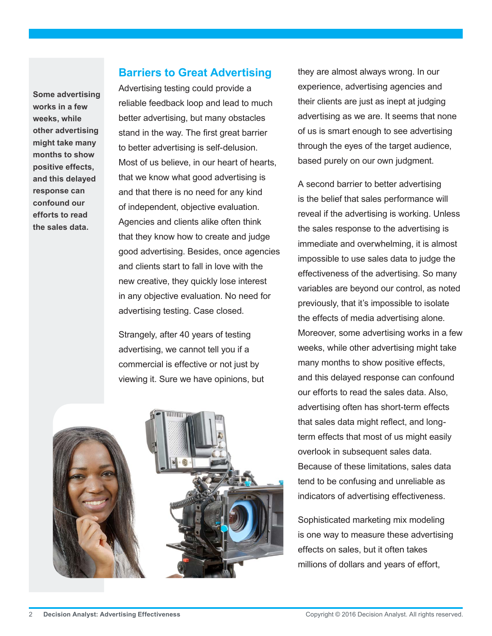**Some advertising works in a few weeks, while other advertising might take many months to show positive effects, and this delayed response can confound our efforts to read the sales data.** 

#### **Barriers to Great Advertising**

Advertising testing could provide a reliable feedback loop and lead to much better advertising, but many obstacles stand in the way. The first great barrier to better advertising is self-delusion. Most of us believe, in our heart of hearts, that we know what good advertising is and that there is no need for any kind of independent, objective evaluation. Agencies and clients alike often think that they know how to create and judge good advertising. Besides, once agencies and clients start to fall in love with the new creative, they quickly lose interest in any objective evaluation. No need for advertising testing. Case closed.

Strangely, after 40 years of testing advertising, we cannot tell you if a commercial is effective or not just by viewing it. Sure we have opinions, but



they are almost always wrong. In our experience, advertising agencies and their clients are just as inept at judging advertising as we are. It seems that none of us is smart enough to see advertising through the eyes of the target audience, based purely on our own judgment.

A second barrier to better advertising is the belief that sales performance will reveal if the advertising is working. Unless the sales response to the advertising is immediate and overwhelming, it is almost impossible to use sales data to judge the effectiveness of the advertising. So many variables are beyond our control, as noted previously, that it's impossible to isolate the effects of media advertising alone. Moreover, some advertising works in a few weeks, while other advertising might take many months to show positive effects, and this delayed response can confound our efforts to read the sales data. Also, advertising often has short-term effects that sales data might reflect, and longterm effects that most of us might easily overlook in subsequent sales data. Because of these limitations, sales data tend to be confusing and unreliable as indicators of advertising effectiveness.

Sophisticated marketing mix modeling is one way to measure these advertising effects on sales, but it often takes millions of dollars and years of effort,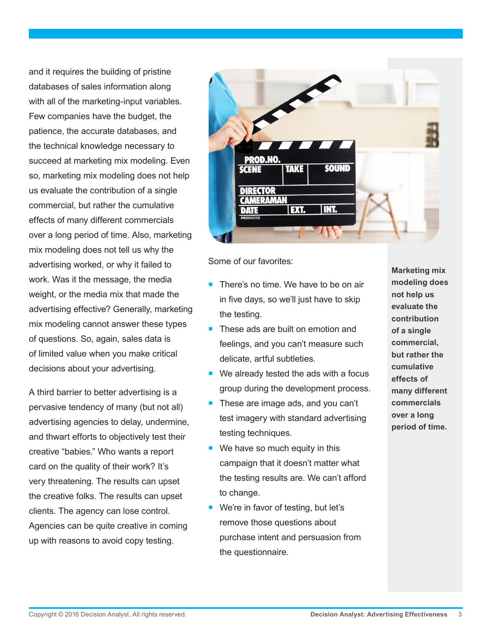and it requires the building of pristine databases of sales information along with all of the marketing-input variables. Few companies have the budget, the patience, the accurate databases, and the technical knowledge necessary to succeed at marketing mix modeling. Even so, marketing mix modeling does not help us evaluate the contribution of a single commercial, but rather the cumulative effects of many different commercials over a long period of time. Also, marketing mix modeling does not tell us why the advertising worked, or why it failed to work. Was it the message, the media weight, or the media mix that made the advertising effective? Generally, marketing mix modeling cannot answer these types of questions. So, again, sales data is of limited value when you make critical decisions about your advertising.

A third barrier to better advertising is a pervasive tendency of many (but not all) advertising agencies to delay, undermine, and thwart efforts to objectively test their creative "babies." Who wants a report card on the quality of their work? It's very threatening. The results can upset the creative folks. The results can upset clients. The agency can lose control. Agencies can be quite creative in coming up with reasons to avoid copy testing.



Some of our favorites:

- There's no time. We have to be on air in five days, so we'll just have to skip the testing.
- These ads are built on emotion and feelings, and you can't measure such delicate, artful subtleties.
- We already tested the ads with a focus group during the development process.
- These are image ads, and you can't test imagery with standard advertising testing techniques.
- $\blacksquare$  We have so much equity in this campaign that it doesn't matter what the testing results are. We can't afford to change.
- We're in favor of testing, but let's remove those questions about purchase intent and persuasion from the questionnaire.

**Marketing mix modeling does not help us evaluate the contribution of a single commercial, but rather the cumulative effects of many different commercials over a long period of time.**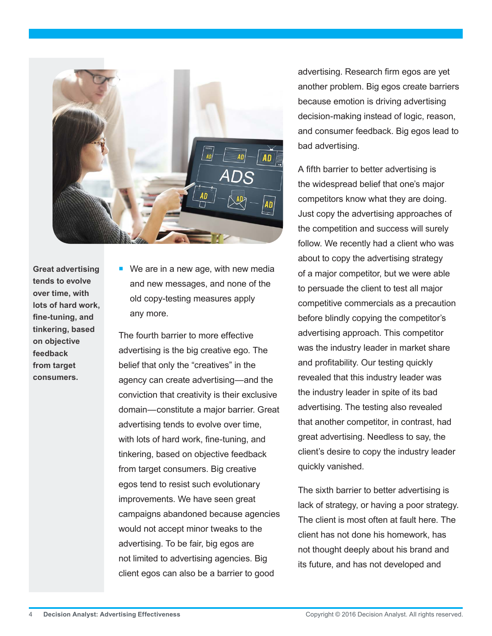

**Great advertising tends to evolve over time, with lots of hard work, fine-tuning, and tinkering, based on objective feedback from target consumers.**

■ We are in a new age, with new media and new messages, and none of the old copy-testing measures apply any more.

The fourth barrier to more effective advertising is the big creative ego. The belief that only the "creatives" in the agency can create advertising—and the conviction that creativity is their exclusive domain—constitute a major barrier. Great advertising tends to evolve over time, with lots of hard work, fine-tuning, and tinkering, based on objective feedback from target consumers. Big creative egos tend to resist such evolutionary improvements. We have seen great campaigns abandoned because agencies would not accept minor tweaks to the advertising. To be fair, big egos are not limited to advertising agencies. Big client egos can also be a barrier to good

advertising. Research firm egos are yet another problem. Big egos create barriers because emotion is driving advertising decision-making instead of logic, reason, and consumer feedback. Big egos lead to bad advertising.

A fifth barrier to better advertising is the widespread belief that one's major competitors know what they are doing. Just copy the advertising approaches of the competition and success will surely follow. We recently had a client who was about to copy the advertising strategy of a major competitor, but we were able to persuade the client to test all major competitive commercials as a precaution before blindly copying the competitor's advertising approach. This competitor was the industry leader in market share and profitability. Our testing quickly revealed that this industry leader was the industry leader in spite of its bad advertising. The testing also revealed that another competitor, in contrast, had great advertising. Needless to say, the client's desire to copy the industry leader quickly vanished.

The sixth barrier to better advertising is lack of strategy, or having a poor strategy. The client is most often at fault here. The client has not done his homework, has not thought deeply about his brand and its future, and has not developed and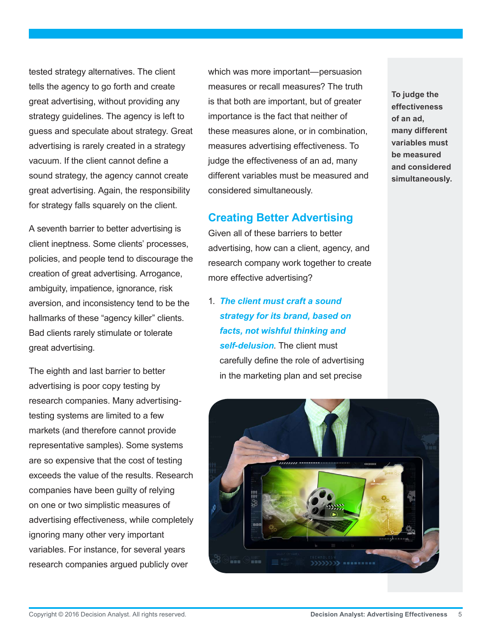tested strategy alternatives. The client tells the agency to go forth and create great advertising, without providing any strategy guidelines. The agency is left to guess and speculate about strategy. Great advertising is rarely created in a strategy vacuum. If the client cannot define a sound strategy, the agency cannot create great advertising. Again, the responsibility for strategy falls squarely on the client.

A seventh barrier to better advertising is client ineptness. Some clients' processes, policies, and people tend to discourage the creation of great advertising. Arrogance, ambiguity, impatience, ignorance, risk aversion, and inconsistency tend to be the hallmarks of these "agency killer" clients. Bad clients rarely stimulate or tolerate great advertising.

The eighth and last barrier to better advertising is poor copy testing by research companies. Many advertisingtesting systems are limited to a few markets (and therefore cannot provide representative samples). Some systems are so expensive that the cost of testing exceeds the value of the results. Research companies have been guilty of relying on one or two simplistic measures of advertising effectiveness, while completely ignoring many other very important variables. For instance, for several years research companies argued publicly over

which was more important—persuasion measures or recall measures? The truth is that both are important, but of greater importance is the fact that neither of these measures alone, or in combination, measures advertising effectiveness. To judge the effectiveness of an ad, many different variables must be measured and considered simultaneously.

## **Creating Better Advertising**

Given all of these barriers to better advertising, how can a client, agency, and research company work together to create more effective advertising?

1. *The client must craft a sound strategy for its brand, based on facts, not wishful thinking and self-delusion*. The client must carefully define the role of advertising in the marketing plan and set precise

**To judge the effectiveness of an ad, many different variables must be measured and considered simultaneously.** 

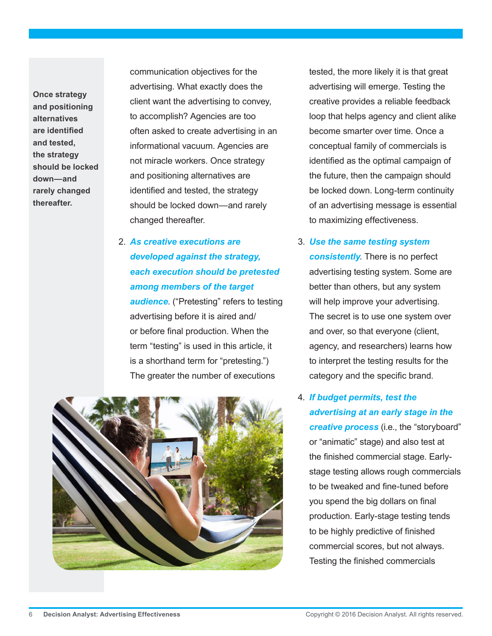**Once strategy and positioning alternatives are identified and tested, the strategy should be locked down—and rarely changed thereafter.**

communication objectives for the advertising. What exactly does the client want the advertising to convey, to accomplish? Agencies are too often asked to create advertising in an informational vacuum. Agencies are not miracle workers. Once strategy and positioning alternatives are identified and tested, the strategy should be locked down—and rarely changed thereafter.

2. *As creative executions are developed against the strategy, each execution should be pretested among members of the target audience*. ("Pretesting" refers to testing advertising before it is aired and/ or before final production. When the term "testing" is used in this article, it is a shorthand term for "pretesting.") The greater the number of executions



tested, the more likely it is that great advertising will emerge. Testing the creative provides a reliable feedback loop that helps agency and client alike become smarter over time. Once a conceptual family of commercials is identified as the optimal campaign of the future, then the campaign should be locked down. Long-term continuity of an advertising message is essential to maximizing effectiveness.

- 3. *Use the same testing system consistently*. There is no perfect advertising testing system. Some are better than others, but any system will help improve your advertising. The secret is to use one system over and over, so that everyone (client, agency, and researchers) learns how to interpret the testing results for the category and the specific brand.
- 4. *If budget permits, test the advertising at an early stage in the creative process* (i.e., the "storyboard" or "animatic" stage) and also test at the finished commercial stage. Earlystage testing allows rough commercials to be tweaked and fine-tuned before you spend the big dollars on final production. Early-stage testing tends to be highly predictive of finished commercial scores, but not always. Testing the finished commercials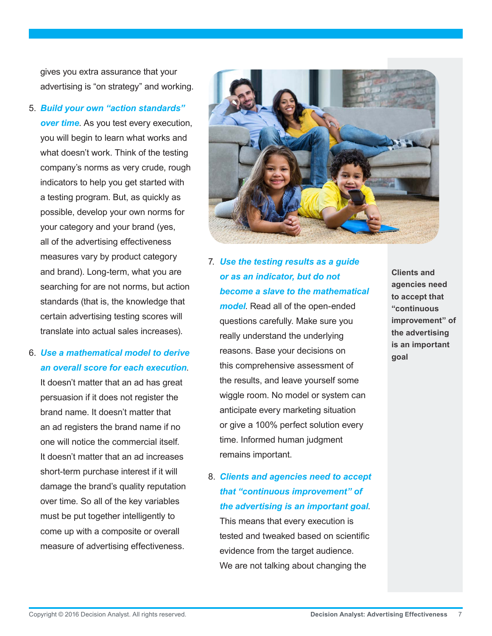gives you extra assurance that your advertising is "on strategy" and working.

- 5. *Build your own "action standards" over time*. As you test every execution, you will begin to learn what works and what doesn't work. Think of the testing company's norms as very crude, rough indicators to help you get started with a testing program. But, as quickly as possible, develop your own norms for your category and your brand (yes, all of the advertising effectiveness measures vary by product category and brand). Long-term, what you are searching for are not norms, but action standards (that is, the knowledge that certain advertising testing scores will translate into actual sales increases).
- 6. *Use a mathematical model to derive an overall score for each execution*.

It doesn't matter that an ad has great persuasion if it does not register the brand name. It doesn't matter that an ad registers the brand name if no one will notice the commercial itself. It doesn't matter that an ad increases short-term purchase interest if it will damage the brand's quality reputation over time. So all of the key variables must be put together intelligently to come up with a composite or overall measure of advertising effectiveness.



7. *Use the testing results as a guide or as an indicator, but do not become a slave to the mathematical* 

*model*. Read all of the open-ended questions carefully. Make sure you really understand the underlying reasons. Base your decisions on this comprehensive assessment of the results, and leave yourself some wiggle room. No model or system can anticipate every marketing situation or give a 100% perfect solution every time. Informed human judgment remains important.

8. *Clients and agencies need to accept that "continuous improvement" of the advertising is an important goal*. This means that every execution is tested and tweaked based on scientific evidence from the target audience. We are not talking about changing the

**Clients and agencies need to accept that "continuous improvement" of the advertising is an important goal**